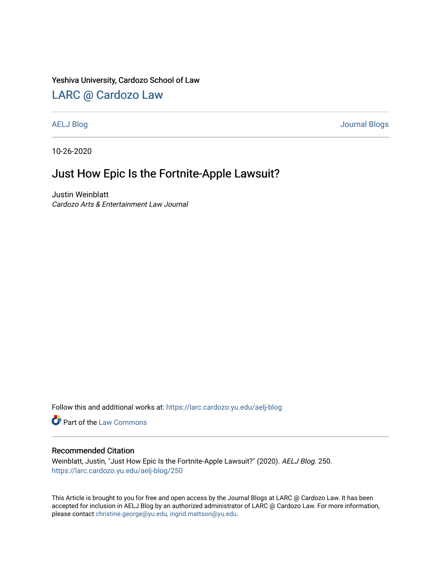### Yeshiva University, Cardozo School of Law

# [LARC @ Cardozo Law](https://larc.cardozo.yu.edu/)

[AELJ Blog](https://larc.cardozo.yu.edu/aelj-blog) [Journal Blogs](https://larc.cardozo.yu.edu/journal-blogs) 

10-26-2020

# Just How Epic Is the Fortnite-Apple Lawsuit?

Justin Weinblatt Cardozo Arts & Entertainment Law Journal

Follow this and additional works at: [https://larc.cardozo.yu.edu/aelj-blog](https://larc.cardozo.yu.edu/aelj-blog?utm_source=larc.cardozo.yu.edu%2Faelj-blog%2F250&utm_medium=PDF&utm_campaign=PDFCoverPages) 

Part of the [Law Commons](http://network.bepress.com/hgg/discipline/578?utm_source=larc.cardozo.yu.edu%2Faelj-blog%2F250&utm_medium=PDF&utm_campaign=PDFCoverPages)

### Recommended Citation

Weinblatt, Justin, "Just How Epic Is the Fortnite-Apple Lawsuit?" (2020). AELJ Blog. 250. [https://larc.cardozo.yu.edu/aelj-blog/250](https://larc.cardozo.yu.edu/aelj-blog/250?utm_source=larc.cardozo.yu.edu%2Faelj-blog%2F250&utm_medium=PDF&utm_campaign=PDFCoverPages) 

This Article is brought to you for free and open access by the Journal Blogs at LARC @ Cardozo Law. It has been accepted for inclusion in AELJ Blog by an authorized administrator of LARC @ Cardozo Law. For more information, please contact [christine.george@yu.edu, ingrid.mattson@yu.edu.](mailto:christine.george@yu.edu,%20ingrid.mattson@yu.edu)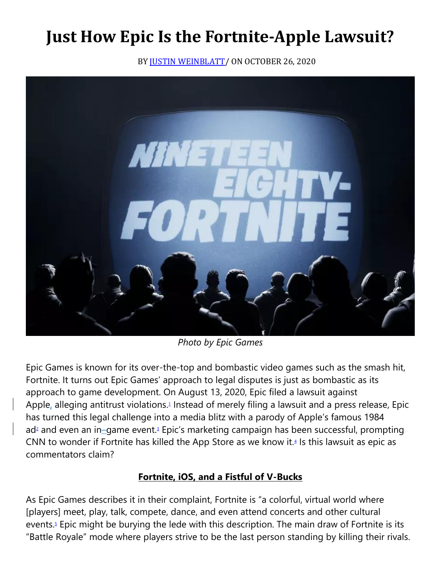# **Just How Epic Is the Fortnite-Apple Lawsuit?**

BY JUSTIN WEINBLATT / ON OCTOBER 26, 2020



*Photo by Epic Games*

Epic Games is known for its over-the-top and bombastic video games such as the smash hit, Fortnite. It turns out Epic Games' approach to legal disputes is just as bombastic as its approach to game development. On August 13, 2020, Epic filed a lawsuit against Apple, alleging antitrust violations[.](https://cardozoaelj.com/2020/10/26/just-how-epic-is-the-fortnite-apple-lawsuit-2/#easy-footnote-bottom-1-6534)<sup>1</sup> Instead of merely filing a lawsuit and a press release, Epic has turned this legal challenge into a media blitz with a parody of Apple's famous 1984 a[d](https://cardozoaelj.com/2020/10/26/just-how-epic-is-the-fortnite-apple-lawsuit-2/#easy-footnote-bottom-2-6534)<sup>2</sup> and even an in–game event[.](https://cardozoaelj.com/2020/10/26/just-how-epic-is-the-fortnite-apple-lawsuit-2/#easy-footnote-bottom-3-6534)<sup>3</sup> Epic's marketing campaign has been successful, prompting CNN to wonder if Fortnite has killed the App Store as we know it. $4$  Is this lawsuit as epic as commentators claim?

# **Fortnite, iOS, and a Fistful of V-Bucks**

As Epic Games describes it in their complaint, Fortnite is "a colorful, virtual world where [players] meet, play, talk, compete, dance, and even attend concerts and other cultural events[.](https://cardozoaelj.com/2020/10/26/just-how-epic-is-the-fortnite-apple-lawsuit-2/#easy-footnote-bottom-5-6534) $5$  Epic might be burying the lede with this description. The main draw of Fortnite is its "Battle Royale" mode where players strive to be the last person standing by killing their rivals.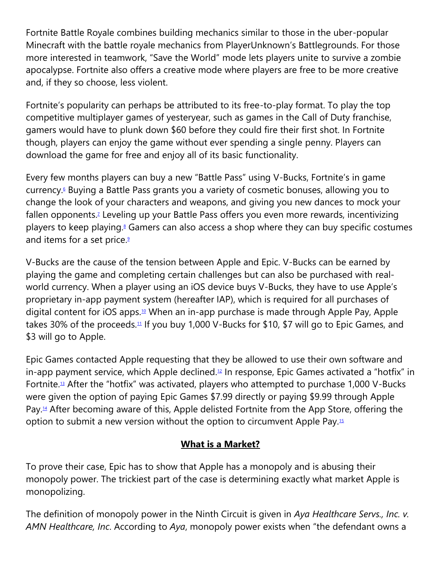Fortnite Battle Royale combines building mechanics similar to those in the uber-popular Minecraft with the battle royale mechanics from PlayerUnknown's Battlegrounds. For those more interested in teamwork, "Save the World" mode lets players unite to survive a zombie apocalypse. Fortnite also offers a creative mode where players are free to be more creative and, if they so choose, less violent.

Fortnite's popularity can perhaps be attributed to its free-to-play format. To play the top competitive multiplayer games of yesteryear, such as games in the Call of Duty franchise, gamers would have to plunk down \$60 before they could fire their first shot. In Fortnite though, players can enjoy the game without ever spending a single penny. Players can download the game for free and enjoy all of its basic functionality.

Every few months players can buy a new "Battle Pass" using V-Bucks, Fortnite's in game currency[.](https://cardozoaelj.com/2020/10/26/just-how-epic-is-the-fortnite-apple-lawsuit-2/#easy-footnote-bottom-6-6534)<sup>6</sup> Buying a Battle Pass grants you a variety of cosmetic bonuses, allowing you to change the look of your characters and weapons, and giving you new dances to mock your fallen opponents[.](https://cardozoaelj.com/2020/10/26/just-how-epic-is-the-fortnite-apple-lawsuit-2/#easy-footnote-bottom-7-6534)<sup>7</sup> Leveling up your Battle Pass offers you even more rewards, incentivizing players to keep playing[.](https://cardozoaelj.com/2020/10/26/just-how-epic-is-the-fortnite-apple-lawsuit-2/#easy-footnote-bottom-8-6534)<sup>8</sup> Gamers can also access a shop where they can buy specific costumes and items for a set price[.](https://cardozoaelj.com/2020/10/26/just-how-epic-is-the-fortnite-apple-lawsuit-2/#easy-footnote-bottom-9-6534)<sup>9</sup>

V-Bucks are the cause of the tension between Apple and Epic. V-Bucks can be earned by playing the game and completing certain challenges but can also be purchased with realworld currency. When a player using an iOS device buys V-Bucks, they have to use Apple's proprietary in-app payment system (hereafter IAP), which is required for all purchases of digital content for iOS apps.[10](https://cardozoaelj.com/2020/10/26/just-how-epic-is-the-fortnite-apple-lawsuit-2/#easy-footnote-bottom-10-6534) When an in-app purchase is made through Apple Pay, Apple takes 30% of the proceeds.<sup>[11](https://cardozoaelj.com/2020/10/26/just-how-epic-is-the-fortnite-apple-lawsuit-2/#easy-footnote-bottom-11-6534)</sup> If you buy 1,000 V-Bucks for \$10, \$7 will go to Epic Games, and \$3 will go to Apple.

Epic Games contacted Apple requesting that they be allowed to use their own software and  $\pi$  in-app payment service, which Apple declined.<sup>[12](https://cardozoaelj.com/2020/10/26/just-how-epic-is-the-fortnite-apple-lawsuit-2/#easy-footnote-bottom-12-6534)</sup> In response, Epic Games activated a "hotfix" in Fortnite.<sup>[13](https://cardozoaelj.com/2020/10/26/just-how-epic-is-the-fortnite-apple-lawsuit-2/#easy-footnote-bottom-13-6534)</sup> After the "hotfix" was activated, players who attempted to purchase 1,000 V-Bucks were given the option of paying Epic Games \$7.99 directly or paying \$9.99 through Apple Pay.[14](https://cardozoaelj.com/2020/10/26/just-how-epic-is-the-fortnite-apple-lawsuit-2/#easy-footnote-bottom-14-6534) After becoming aware of this, Apple delisted Fortnite from the App Store, offering the option to submit a new version without the option to circumvent Apple Pay.[15](https://cardozoaelj.com/2020/10/26/just-how-epic-is-the-fortnite-apple-lawsuit-2/#easy-footnote-bottom-15-6534)

# **What is a Market?**

To prove their case, Epic has to show that Apple has a monopoly and is abusing their monopoly power. The trickiest part of the case is determining exactly what market Apple is monopolizing.

The definition of monopoly power in the Ninth Circuit is given in *Aya Healthcare Servs., Inc. v. AMN Healthcare, Inc*. According to *Aya*, monopoly power exists when "the defendant owns a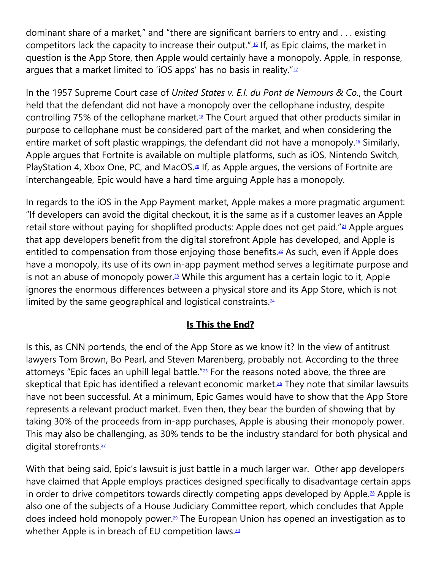dominant share of a market," and "there are significant barriers to entry and . . . existing competitors lack the capacity to increase their output.".[16](https://cardozoaelj.com/2020/10/26/just-how-epic-is-the-fortnite-apple-lawsuit-2/#easy-footnote-bottom-16-6534) If, as Epic claims, the market in question is the App Store, then Apple would certainly have a monopoly. Apple, in response, argues that a market limited to 'iOS apps' has no basis in reality." $1/17$  $1/17$ 

In the 1957 Supreme Court case of *United States v. E.I. du Pont de Nemours & Co.*, the Court held that the defendant did not have a monopoly over the cellophane industry, despite controlling 75% of the cellophane market.<sup>[18](https://cardozoaelj.com/2020/10/26/just-how-epic-is-the-fortnite-apple-lawsuit-2/#easy-footnote-bottom-18-6534)</sup> The Court argued that other products similar in purpose to cellophane must be considered part of the market, and when considering the entire market of soft plastic wrappings, the defendant did not have a monopoly.<sup>[19](https://cardozoaelj.com/2020/10/26/just-how-epic-is-the-fortnite-apple-lawsuit-2/#easy-footnote-bottom-19-6534)</sup> Similarly, Apple argues that Fortnite is available on multiple platforms, such as iOS, Nintendo Switch, PlayStation 4, Xbox One, PC, and MacOS.<sup>[20](https://cardozoaelj.com/2020/10/26/just-how-epic-is-the-fortnite-apple-lawsuit-2/#easy-footnote-bottom-20-6534)</sup> If, as Apple argues, the versions of Fortnite are interchangeable, Epic would have a hard time arguing Apple has a monopoly.

In regards to the iOS in the App Payment market, Apple makes a more pragmatic argument: "If developers can avoid the digital checkout, it is the same as if a customer leaves an Apple retail store without paying for shoplifted products: Apple does not get paid."<sup>[21](https://cardozoaelj.com/2020/10/26/just-how-epic-is-the-fortnite-apple-lawsuit-2/#easy-footnote-bottom-21-6534)</sup> Apple argues that app developers benefit from the digital storefront Apple has developed, and Apple is entitled to compensation from those enjoying those benefits.<sup>[22](https://cardozoaelj.com/2020/10/26/just-how-epic-is-the-fortnite-apple-lawsuit-2/#easy-footnote-bottom-22-6534)</sup> As such, even if Apple does have a monopoly, its use of its own in-app payment method serves a legitimate purpose and is not an abuse of monopoly power.<sup>[23](https://cardozoaelj.com/2020/10/26/just-how-epic-is-the-fortnite-apple-lawsuit-2/#easy-footnote-bottom-23-6534)</sup> While this argument has a certain logic to it, Apple ignores the enormous differences between a physical store and its App Store, which is not limited by the same geographical and logistical constraints.<sup>[24](https://cardozoaelj.com/2020/10/26/just-how-epic-is-the-fortnite-apple-lawsuit-2/#easy-footnote-bottom-24-6534)</sup>

## **Is This the End?**

Is this, as CNN portends, the end of the App Store as we know it? In the view of antitrust lawyers Tom Brown, Bo Pearl, and Steven Marenberg, probably not. According to the three attorneys "Epic faces an uphill legal battle." $25$  For the reasons noted above, the three are skeptical that Epic has identified a relevant economic market.<sup>[26](https://cardozoaelj.com/2020/10/26/just-how-epic-is-the-fortnite-apple-lawsuit-2/#easy-footnote-bottom-26-6534)</sup> They note that similar lawsuits have not been successful. At a minimum, Epic Games would have to show that the App Store represents a relevant product market. Even then, they bear the burden of showing that by taking 30% of the proceeds from in-app purchases, Apple is abusing their monopoly power. This may also be challenging, as 30% tends to be the industry standard for both physical and digital storefronts.<sup>[27](https://cardozoaelj.com/2020/10/26/just-how-epic-is-the-fortnite-apple-lawsuit-2/#easy-footnote-bottom-27-6534)</sup>

With that being said, Epic's lawsuit is just battle in a much larger war. Other app developers have claimed that Apple employs practices designed specifically to disadvantage certain apps in order to drive competitors towards directly competing apps developed by Apple.<sup>[28](https://cardozoaelj.com/2020/10/26/just-how-epic-is-the-fortnite-apple-lawsuit-2/#easy-footnote-bottom-28-6534)</sup> Apple is also one of the subjects of a House Judiciary Committee report, which concludes that Apple does indeed hold monopoly power.[29](https://cardozoaelj.com/2020/10/26/just-how-epic-is-the-fortnite-apple-lawsuit-2/#easy-footnote-bottom-29-6534) The European Union has opened an investigation as to whether Apple is in breach of EU competition laws.<sup>[30](https://cardozoaelj.com/2020/10/26/just-how-epic-is-the-fortnite-apple-lawsuit-2/#easy-footnote-bottom-30-6534)</sup>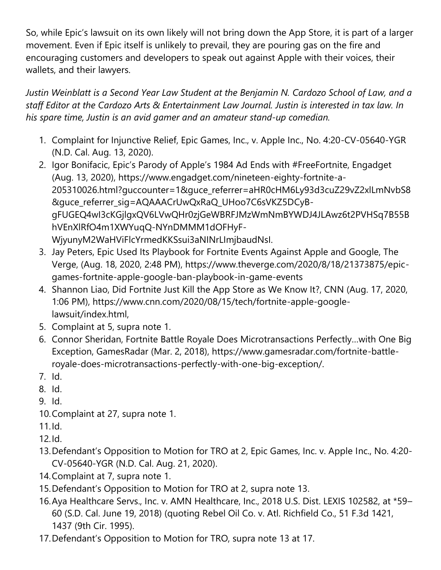So, while Epic's lawsuit on its own likely will not bring down the App Store, it is part of a larger movement. Even if Epic itself is unlikely to prevail, they are pouring gas on the fire and encouraging customers and developers to speak out against Apple with their voices, their wallets, and their lawyers.

*Justin Weinblatt is a Second Year Law Student at the Benjamin N. Cardozo School of Law, and a staff Editor at the Cardozo Arts & Entertainment Law Journal. Justin is interested in tax law. In his spare time, Justin is an avid gamer and an amateur stand-up comedian.*

- 1. Complaint for Injunctive Relief, Epic Games, Inc., v. Apple Inc., No. 4:20-CV-05640-YGR (N.D. Cal. Aug. 13, 2020).
- 2. Igor Bonifacic, Epic's Parody of Apple's 1984 Ad Ends with #FreeFortnite, Engadget (Aug. 13, 2020), https://www.engadget.com/nineteen-eighty-fortnite-a-205310026.html?guccounter=1&guce\_referrer=aHR0cHM6Ly93d3cuZ29vZ2xlLmNvbS8 &guce\_referrer\_sig=AQAAACrUwQxRaQ\_UHoo7C6sVKZ5DCyBgFUGEQ4wI3cKGjlgxQV6LVwQHr0zjGeWBRFJMzWmNmBYWDJ4JLAwz6t2PVHSq7B55B hVEnXlRfO4m1XWYuqQ-NYnDMMM1dOFHyF-WjyunyM2WaHViFlcYrmedKKSsui3aNINrLImjbaudNsI.
- 3. Jay Peters, Epic Used Its Playbook for Fortnite Events Against Apple and Google, The Verge, (Aug. 18, 2020, 2:48 PM), https://www.theverge.com/2020/8/18/21373875/epicgames-fortnite-apple-google-ban-playbook-in-game-events
- 4. Shannon Liao, Did Fortnite Just Kill the App Store as We Know It?, CNN (Aug. 17, 2020, 1:06 PM), https://www.cnn.com/2020/08/15/tech/fortnite-apple-googlelawsuit/index.html,
- 5. Complaint at 5, supra note 1.
- 6. Connor Sheridan, Fortnite Battle Royale Does Microtransactions Perfectly…with One Big Exception, GamesRadar (Mar. 2, 2018), https://www.gamesradar.com/fortnite-battleroyale-does-microtransactions-perfectly-with-one-big-exception/.
- 7. Id.
- 8. Id.
- 9. Id.
- 10.Complaint at 27, supra note 1.

11.Id.

- 12.Id.
- 13.Defendant's Opposition to Motion for TRO at 2, Epic Games, Inc. v. Apple Inc., No. 4:20- CV-05640-YGR (N.D. Cal. Aug. 21, 2020).
- 14.Complaint at 7, supra note 1.
- 15.Defendant's Opposition to Motion for TRO at 2, supra note 13.
- 16.Aya Healthcare Servs., Inc. v. AMN Healthcare, Inc., 2018 U.S. Dist. LEXIS 102582, at \*59– 60 (S.D. Cal. June 19, 2018) (quoting Rebel Oil Co. v. Atl. Richfield Co., 51 F.3d 1421, 1437 (9th Cir. 1995).
- 17.Defendant's Opposition to Motion for TRO, supra note 13 at 17.